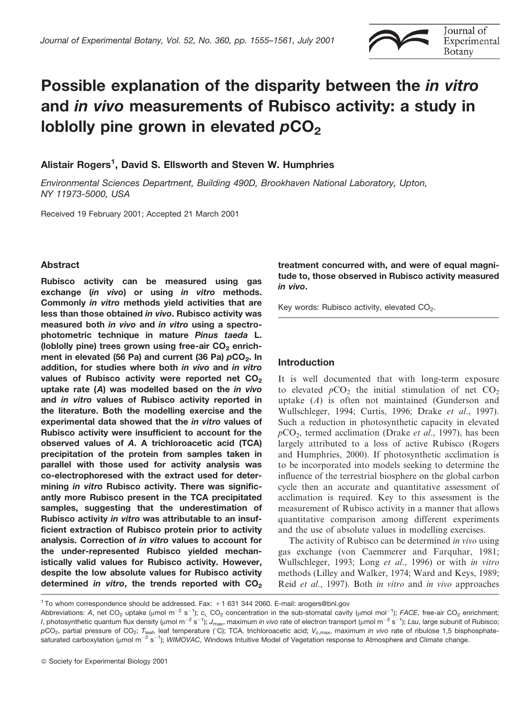

# Possible explanation of the disparity between the in vitro and in vivo measurements of Rubisco activity: a study in loblolly pine grown in elevated pCO<sub>2</sub>

# Alistair Rogers<sup>1</sup>, David S. Ellsworth and Steven W. Humphries

Environmental Sciences Department, Building 490D, Brookhaven National Laboratory, Upton, NY 11973-5000, USA

Received 19 February 2001; Accepted 21 March 2001

# **Abstract**

Rubisco activity can be measured using gas exchange (in vivo) or using in vitro methods. Commonly in vitro methods yield activities that are less than those obtained in vivo. Rubisco activity was measured both in vivo and in vitro using a spectrophotometric technique in mature Pinus taeda L. (loblolly pine) trees grown using free-air CO<sub>2</sub> enrichment in elevated (56 Pa) and current (36 Pa) pCO<sub>2</sub>. In addition, for studies where both in vivo and in vitro values of Rubisco activity were reported net CO<sub>2</sub> uptake rate (A) was modelled based on the in vivo and in vitro values of Rubisco activity reported in the literature. Both the modelling exercise and the experimental data showed that the in vitro values of Rubisco activity were insufficient to account for the observed values of A. A trichloroacetic acid (TCA) precipitation of the protein from samples taken in parallel with those used for activity analysis was co-electrophoresed with the extract used for determining in vitro Rubisco activity. There was significantly more Rubisco present in the TCA precipitated samples, suggesting that the underestimation of Rubisco activity in vitro was attributable to an insufficient extraction of Rubisco protein prior to activity analysis. Correction of in vitro values to account for the under-represented Rubisco yielded mechanistically valid values for Rubisco activity. However, despite the low absolute values for Rubisco activity determined in vitro, the trends reported with CO<sub>2</sub>

treatment concurred with, and were of equal magnitude to, those observed in Rubisco activity measured in vivo.

Key words: Rubisco activity, elevated CO<sub>2</sub>.

# **Introduction**

It is well documented that with long-term exposure to elevated  $pCO_2$  the initial stimulation of net  $CO_2$ uptake  $(A)$  is often not maintained (Gunderson and Wullschleger, 1994; Curtis, 1996; Drake *et al.*, 1997). Such a reduction in photosynthetic capacity in elevated  $pCO<sub>2</sub>$ , termed acclimation (Drake *et al.*, 1997), has been largely attributed to a loss of active Rubisco (Rogers and Humphries, 2000). If photosynthetic acclimation is to be incorporated into models seeking to determine the influence of the terrestrial biosphere on the global carbon cycle then an accurate and quantitative assessment of acclimation is required. Key to this assessment is the measurement of Rubisco activity in a manner that allows quantitative comparison among different experiments and the use of absolute values in modelling exercises.

The activity of Rubisco can be determined in vivo using gas exchange (von Caemmerer and Farquhar, 1981; Wullschleger, 1993; Long et al., 1996) or with in vitro methods (Lilley and Walker, 1974; Ward and Keys, 1989; Reid et al., 1997). Both in vitro and in vivo approaches

<sup>&</sup>lt;sup>1</sup> To whom correspondence should be addressed. Fax: +1 631 344 2060. E-mail: arogers@bnl.gov

Abbreviations: A, net CO<sub>2</sub> uptake (µmol m<sup>-2</sup> s<sup>-1</sup>); c<sub>i</sub>, CO<sub>2</sub> concentration in the sub-stomatal cavity (µmol mol<sup>-1</sup>); FACE, free-air CO<sub>2</sub> enrichment; *I*, photosynthetic quantum flux density (µmol m<sup>-2</sup> s<sup>-1</sup>); J<sub>max</sub>, maximum *in vivo* rate of electron transport (µmol m<sup>-2</sup> s<sup>-1</sup>); Lsu, large subunit of Rubisco;  $pCO_2$ , partial pressure of CO<sub>2</sub>; T<sub>leaf</sub>, leaf temperature (°C); TCA, trichloroacetic acid; V<sub>c,max</sub>, maximum in vivo rate of ribulose 1,5 bisphosphatesaturated carboxylation ( $\mu$ mol m<sup>-2</sup> s<sup>-1</sup>); WIMOVAC, Windows Intuitive Model of Vegetation response to Atmosphere and Climate change.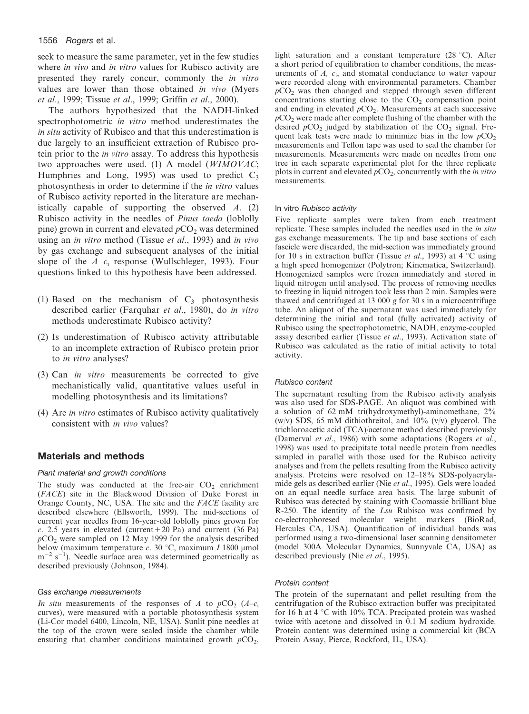seek to measure the same parameter, yet in the few studies where in vivo and in vitro values for Rubisco activity are presented they rarely concur, commonly the *in vitro* values are lower than those obtained in vivo (Myers et al., 1999; Tissue et al., 1999; Griffin et al., 2000).

The authors hypothesized that the NADH-linked spectrophotometric in vitro method underestimates the in situ activity of Rubisco and that this underestimation is due largely to an insufficient extraction of Rubisco protein prior to the *in vitro* assay. To address this hypothesis two approaches were used. (1) A model (WIMOVAC; Humphries and Long, 1995) was used to predict  $C_3$ photosynthesis in order to determine if the *in vitro* values of Rubisco activity reported in the literature are mechanistically capable of supporting the observed  $A$ . (2) Rubisco activity in the needles of *Pinus taeda* (loblolly pine) grown in current and elevated  $pCO<sub>2</sub>$  was determined using an *in vitro* method (Tissue *et al.*, 1993) and *in vivo* by gas exchange and subsequent analyses of the initial slope of the  $A-c_i$  response (Wullschleger, 1993). Four questions linked to this hypothesis have been addressed.

- (1) Based on the mechanism of  $C_3$  photosynthesis described earlier (Farquhar et al., 1980), do in vitro methods underestimate Rubisco activity?
- (2) Is underestimation of Rubisco activity attributable to an incomplete extraction of Rubisco protein prior to in vitro analyses?
- (3) Can in vitro measurements be corrected to give mechanistically valid, quantitative values useful in modelling photosynthesis and its limitations?
- (4) Are *in vitro* estimates of Rubisco activity qualitatively consistent with in vivo values?

# **Materials and methods**

## Plant material and growth conditions

The study was conducted at the free-air  $CO<sub>2</sub>$  enrichment (FACE) site in the Blackwood Division of Duke Forest in Orange County, NC, USA. The site and the FACE facility are described elsewhere (Ellsworth, 1999). The mid-sections of current year needles from 16-year-old loblolly pines grown for c. 2.5 years in elevated (current +20 Pa) and current (36 Pa)  $pCO<sub>2</sub>$  were sampled on 12 May 1999 for the analysis described below (maximum temperature  $c$ . 30 °C, maximum  $I$  1800 µmol  $m^{-2}$  s<sup>-1</sup>). Needle surface area was determined geometrically as described previously (Johnson, 1984).

#### Gas exchange measurements

In situ measurements of the responses of A to  $pCO_2$  (A- $c<sub>i</sub>$ ) curves), were measured with a portable photosynthesis system (Li-Cor model 6400, Lincoln, NE, USA). Sunlit pine needles at the top of the crown were sealed inside the chamber while ensuring that chamber conditions maintained growth  $pCO<sub>2</sub>$ ,

light saturation and a constant temperature  $(28 \degree C)$ . After a short period of equilibration to chamber conditions, the measurements of  $A$ ,  $c_i$ , and stomatal conductance to water vapour were recorded along with environmental parameters. Chamber  $pCO<sub>2</sub>$  was then changed and stepped through seven different concentrations starting close to the  $CO<sub>2</sub>$  compensation point and ending in elevated  $pCO<sub>2</sub>$ . Measurements at each successive  $pCO<sub>2</sub>$  were made after complete flushing of the chamber with the desired  $pCO_2$  judged by stabilization of the  $CO_2$  signal. Frequent leak tests were made to minimize bias in the low  $pCO<sub>2</sub>$ measurements and Teflon tape was used to seal the chamber for measurements. Measurements were made on needles from one tree in each separate experimental plot for the three replicate plots in current and elevated  $pCO_2$ , concurrently with the *in vitro* measurements

#### In vitro Rubisco activity

Five replicate samples were taken from each treatment replicate. These samples included the needles used in the *in situ* gas exchange measurements. The tip and base sections of each fascicle were discarded, the mid-section was immediately ground for 10 s in extraction buffer (Tissue et al., 1993) at 4 °C using a high speed homogenizer (Polytron; Kinematica, Switzerland). Homogenized samples were frozen immediately and stored in liquid nitrogen until analysed. The process of removing needles to freezing in liquid nitrogen took less than 2 min. Samples were thawed and centrifuged at 13 000  $g$  for 30  $s$  in a microcentrifuge tube. An aliquot of the supernatant was used immediately for determining the initial and total (fully activated) activity of Rubisco using the spectrophotometric, NADH, enzyme-coupled assay described earlier (Tissue et al., 1993). Activation state of Rubisco was calculated as the ratio of initial activity to total activity.

#### Rubisco content

The supernatant resulting from the Rubisco activity analysis was also used for SDS-PAGE. An aliquot was combined with a solution of 62 mM tri(hydroxymethyl)-aminomethane,  $2\%$ (w/v) SDS, 65 mM dithiothreitol, and 10% (v/v) glycerol. The trichloroacetic acid (TCA)/acetone method described previously (Damerval et al., 1986) with some adaptations (Rogers et al., 1998) was used to precipitate total needle protein from needles sampled in parallel with those used for the Rubisco activity analyses and from the pellets resulting from the Rubisco activity analysis. Proteins were resolved on 12-18% SDS-polyacrylamide gels as described earlier (Nie et al., 1995). Gels were loaded on an equal needle surface area basis. The large subunit of Rubisco was detected by staining with Coomassie brilliant blue R-250. The identity of the Lsu Rubisco was confirmed by co-electrophoresed molecular weight markers (BioRad, Hercules CA, USA). Quantification of individual bands was performed using a two-dimensional laser scanning densitemeter (model 300A Molecular Dynamics, Sunnyvale CA, USA) as described previously (Nie et al., 1995).

#### Protein content

The protein of the supernatant and pellet resulting from the centrifugation of the Rubisco extraction buffer was precipitated for 16 h at 4  $\degree$ C with 10% TCA. Precipated protein was washed twice with acetone and dissolved in 0.1 M sodium hydroxide. Protein content was determined using a commercial kit (BCA) Protein Assay, Pierce, Rockford, IL, USA).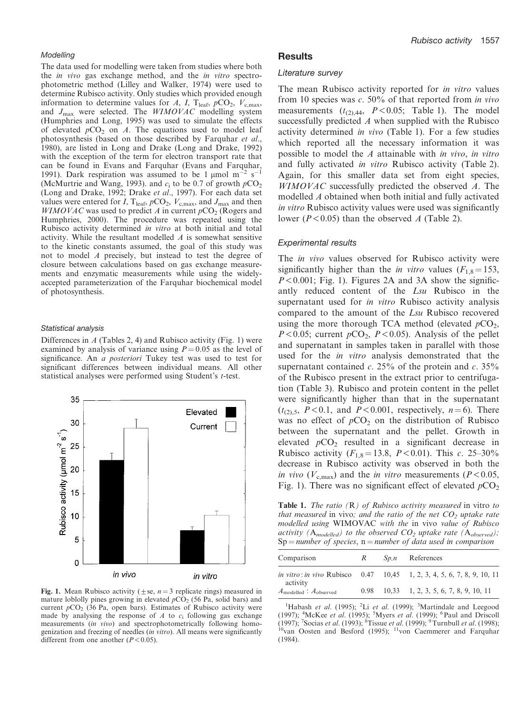#### Modellina

The data used for modelling were taken from studies where both the *in vivo* gas exchange method, and the *in vitro* spectrophotometric method (Lilley and Walker, 1974) were used to determine Rubisco activity. Only studies which provided enough information to determine values for A, I, T<sub>leaf</sub>,  $pCO_2$ ,  $V_{c,\text{max}}$ , and  $J_{\text{max}}$  were selected. The  $WIMOVAC$  modelling system (Humphries and Long, 1995) was used to simulate the effects of elevated  $pCO_2$  on A. The equations used to model leaf photosynthesis (based on those described by Farquhar et al., 1980), are listed in Long and Drake (Long and Drake, 1992) with the exception of the term for electron transport rate that can be found in Evans and Farquhar (Evans and Farquhar, 1991). Dark respiration was assumed to be 1 µmol  $m^{-2} s^{-1}$ (McMurtrie and Wang, 1993). and  $c_i$  to be 0.7 of growth  $pCO_2$ (Long and Drake, 1992; Drake et al., 1997). For each data set values were entered for I, T<sub>leaf</sub>,  $pCO_2$ ,  $V_{c,max}$ , and  $J_{max}$  and then  $WIMOVAC$  was used to predict A in current  $pCO<sub>2</sub>$  (Rogers and Humphries, 2000). The procedure was repeated using the Rubisco activity determined in vitro at both initial and total activity. While the resultant modelled A is somewhat sensitive to the kinetic constants assumed, the goal of this study was not to model A precisely, but instead to test the degree of closure between calculations based on gas exchange measurements and enzymatic measurements while using the widelyaccepted parameterization of the Farquhar biochemical model of photosynthesis.

#### Statistical analysis

Differences in  $A$  (Tables 2, 4) and Rubisco activity (Fig. 1) were examined by analysis of variance using  $P = 0.05$  as the level of significance. An a posteriori Tukey test was used to test for significant differences between individual means. All other statistical analyses were performed using Student's t-test.



Fig. 1. Mean Rubisco activity ( $\pm$ se,  $n=3$  replicate rings) measured in mature loblolly pines growing in elevated  $pCO<sub>2</sub>$  (56 Pa, solid bars) and current  $pCO_2$  (36 Pa, open bars). Estimates of Rubisco activity were made by analysing the response of  $A$  to  $c_i$  following gas exchange measurements (in vivo) and spectrophotometrically following homogenization and freezing of needles (in vitro). All means were significantly different from one another  $(P<0.05)$ .

## **Results**

#### Literature survey

The mean Rubisco activity reported for in vitro values from 10 species was  $c. 50\%$  of that reported from in vivo measurements  $(t_{(2),44}, P<0.05;$  Table 1). The model successfully predicted A when supplied with the Rubisco activity determined in vivo (Table 1). For a few studies which reported all the necessary information it was possible to model the A attainable with in vivo, in vitro and fully activated in vitro Rubisco activity (Table 2). Again, for this smaller data set from eight species, WIMOVAC successfully predicted the observed A. The modelled A obtained when both initial and fully activated in vitro Rubisco activity values were used was significantly lower ( $P < 0.05$ ) than the observed A (Table 2).

## **Experimental results**

The *in vivo* values observed for Rubisco activity were significantly higher than the *in vitro* values  $(F_{1,8} = 153,$  $P < 0.001$ ; Fig. 1). Figures 2A and 3A show the significantly reduced content of the Lsu Rubisco in the supernatant used for *in vitro* Rubisco activity analysis compared to the amount of the Lsu Rubisco recovered using the more thorough TCA method (elevated  $pCO<sub>2</sub>$ ,  $P < 0.05$ ; current  $pCO<sub>2</sub>$ ,  $P < 0.05$ ). Analysis of the pellet and supernatant in samples taken in parallel with those used for the *in vitro* analysis demonstrated that the supernatant contained c.  $25\%$  of the protein and c.  $35\%$ of the Rubisco present in the extract prior to centrifugation (Table 3). Rubisco and protein content in the pellet were significantly higher than that in the supernatant  $(t_{(2),5}, P<0.1,$  and  $P<0.001$ , respectively,  $n=6$ ). There was no effect of  $pCO<sub>2</sub>$  on the distribution of Rubisco between the supernatant and the pellet. Growth in elevated  $pCO<sub>2</sub>$  resulted in a significant decrease in Rubisco activity ( $F_{1,8} = 13.8$ ,  $P < 0.01$ ). This c. 25-30% decrease in Rubisco activity was observed in both the *in vivo* ( $V_{c,\text{max}}$ ) and the *in vitro* measurements ( $P < 0.05$ , Fig. 1). There was no significant effect of elevated  $pCO_2$ 

**Table 1.** The ratio  $(R)$  of Rubisco activity measured in vitro to that measured in vivo; and the ratio of the net  $CO<sub>2</sub>$  uptake rate modelled using WIMOVAC with the in vivo value of Rubisco activity ( $A_{modelled}$ ) to the observed  $CO_2$  uptake rate ( $A_{observed}$ );  $Sp = number of species, n = number of data used in comparison$ 

| Comparison                                 | R | $Spn$ References                                                              |
|--------------------------------------------|---|-------------------------------------------------------------------------------|
| activity                                   |   | <i>in vitro: in vivo</i> Rubisco 0.47 10.45 1, 2, 3, 4, 5, 6, 7, 8, 9, 10, 11 |
| $A_{\text{modelled}}: A_{\text{observed}}$ |   | $0.98$ 10.33 1, 2, 3, 5, 6, 7, 8, 9, 10, 11                                   |

<sup>1</sup>Habash et al. (1995); <sup>2</sup>Li et al. (1999); <sup>3</sup>Martindale and Leegood **The Section of the COSY, S. S. William Control (1997);** 4McKee *et al.* (1995); <sup>5</sup>Myers *et al.* (1999); <sup>6</sup>Paul and Driscoll (1997); <sup>7</sup>Socias *et al.* (1993); <sup>8</sup>Tissue *et al.* (1999); <sup>9</sup>Turnbull *et al.* (1998); <sup>1</sup>  $(1984)$ .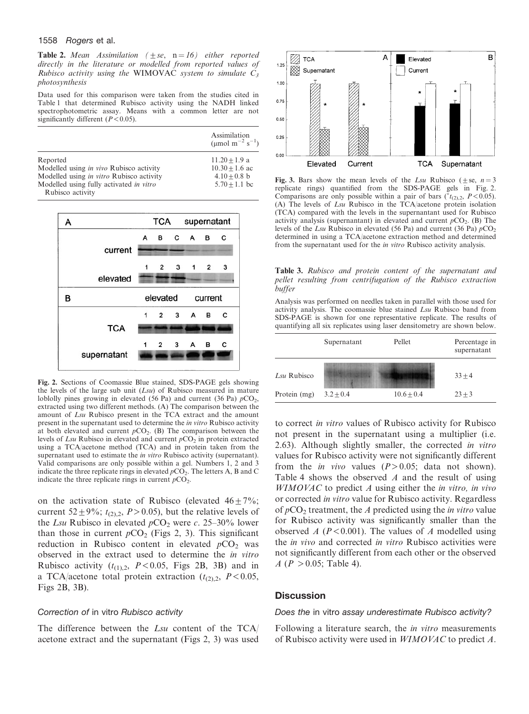#### 1558 Rogers et al.

**Table 2.** Mean Assimilation ( $\pm s\epsilon$ ,  $n = 16$ ) either reported directly in the literature or modelled from reported values of Rubisco activity using the WIMOVAC system to simulate  $C_3$ photosynthesis

Data used for this comparison were taken from the studies cited in Table 1 that determined Rubisco activity using the NADH linked spectrophotometric assay. Means with a common letter are not significantly different  $(P<0.05)$ .

|                                          | Assimilation<br>(µmol m <sup>-2</sup> s <sup>-1</sup> ) |
|------------------------------------------|---------------------------------------------------------|
| Reported                                 | $11.20 + 1.9$ a                                         |
| Modelled using in vivo Rubisco activity  | $10.30 + 1.6$ ac                                        |
| Modelled using in vitro Rubisco activity | $4.10 + 0.8$ b                                          |
| Modelled using fully activated in vitro  | $5.70 + 1.1$ bc                                         |
| Rubisco activity                         |                                                         |



Fig. 2. Sections of Coomassie Blue stained, SDS-PAGE gels showing the levels of the large sub unit  $(Lsu)$  of Rubisco measured in mature loblolly pines growing in elevated (56 Pa) and current (36 Pa)  $pCO_2$ , extracted using two different methods. (A) The comparison between the amount of Lsu Rubisco present in the TCA extract and the amount present in the supernatant used to determine the in vitro Rubisco activity at both elevated and current  $pCO_2$ . (B) The comparison between the levels of Lsu Rubisco in elevated and current  $pCO<sub>2</sub>$  in protein extracted using a TCA/acetone method (TCA) and in protein taken from the supernatant used to estimate the *in vitro* Rubisco activity (supernatant). Valid comparisons are only possible within a gel. Numbers 1, 2 and 3 indicate the three replicate rings in elevated  $pCO<sub>2</sub>$ . The letters A, B and C indicate the three replicate rings in current  $pCO<sub>2</sub>$ .

on the activation state of Rubisco (elevated  $46 \pm 7\%$ ; current 52 ± 9%;  $t_{(2),2}$ , P > 0.05), but the relative levels of the Lsu Rubisco in elevated  $pCO_2$  were c. 25–30% lower than those in current  $pCO_2$  (Figs 2, 3). This significant reduction in Rubisco content in elevated  $pCO<sub>2</sub>$  was observed in the extract used to determine the in vitro Rubisco activity  $(t_{(1),2}, P<0.05,$  Figs 2B, 3B) and in a TCA/acetone total protein extraction  $(t_{(2),2}, P<0.05,$ Figs  $2B$ ,  $3B$ ).

## Correction of in vitro Rubisco activity

The difference between the Lsu content of the TCA acetone extract and the supernatant (Figs 2, 3) was used



Fig. 3. Bars show the mean levels of the Lsu Rubisco ( $\pm$ se,  $n=3$ replicate rings) quantified from the SDS-PAGE gels in Fig. 2. Comparisons are only possible within a pair of bars ( $t_{(2),2}$ ,  $P < 0.05$ ). (A) The levels of  $Lsu$  Rubisco in the TCA/acetone protein isolation (TCA) compared with the levels in the supernantant used for Rubisco activity analysis (supernantant) in elevated and current  $pCO_2$ . (B) The levels of the Lsu Rubisco in elevated (56 Pa) and current (36 Pa)  $pCO<sub>2</sub>$ determined in using a TCA/acetone extraction method and determined from the supernatant used for the *in vitro* Rubisco activity analysis.

Table 3. Rubisco and protein content of the supernatant and pellet resulting from centrifugation of the Rubisco extraction buffer

Analysis was performed on needles taken in parallel with those used for activity analysis. The coomassie blue stained Lsu Rubisco band from SDS-PAGE is shown for one representative replicate. The results of quantifying all six replicates using laser densitometry are shown below.

|              | Supernatant | Pellet       | Percentage in<br>supernatant |
|--------------|-------------|--------------|------------------------------|
| Lsu Rubisco  |             |              | $33 + 4$                     |
| Protein (mg) | $3.2 + 0.4$ | $10.6 + 0.4$ | $23 + 3$                     |

to correct in vitro values of Rubisco activity for Rubisco not present in the supernatant using a multiplier (i.e. 2.63). Although slightly smaller, the corrected in vitro values for Rubisco activity were not significantly different from the *in vivo* values  $(P>0.05$ ; data not shown). Table 4 shows the observed  $A$  and the result of using  $WIMOVAC$  to predict  $A$  using either the in vitro, in vivo or corrected *in vitro* value for Rubisco activity. Regardless of  $pCO_2$  treatment, the A predicted using the *in vitro* value for Rubisco activity was significantly smaller than the observed A ( $P < 0.001$ ). The values of A modelled using the *in vivo* and corrected *in vitro* Rubisco activities were not significantly different from each other or the observed  $A (P > 0.05;$  Table 4).

## **Discussion**

#### Does the in vitro assay underestimate Rubisco activity?

Following a literature search, the *in vitro* measurements of Rubisco activity were used in *WIMOVAC* to predict A.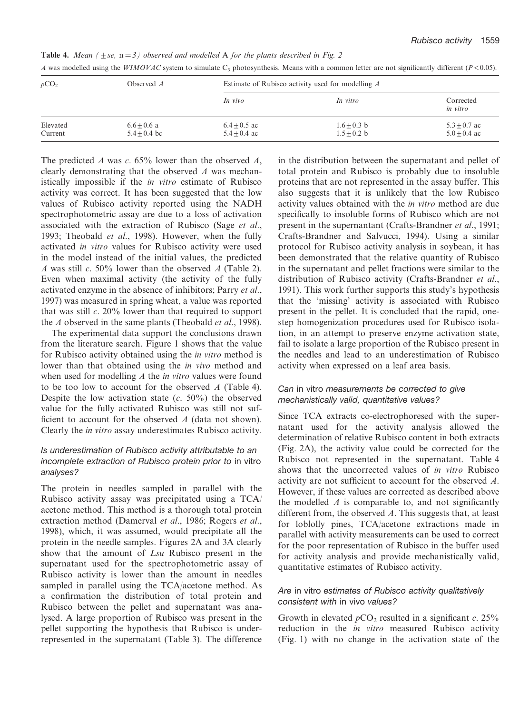| pCO <sub>2</sub>    | Observed $A$                    | Estimate of Rubisco activity used for modelling A |                                |                                    |  |
|---------------------|---------------------------------|---------------------------------------------------|--------------------------------|------------------------------------|--|
|                     |                                 | In vivo                                           | In vitro                       | Corrected<br>in vitro              |  |
| Elevated<br>Current | $6.6 + 0.6$ a<br>$5.4 + 0.4$ bc | $6.4 + 0.5$ ac<br>$5.4 + 0.4$ ac                  | $1.6 + 0.3$ b<br>$1.5 + 0.2 b$ | $5.3 \pm 0.7$ ac<br>$5.0 + 0.4$ ac |  |

**Table 4.** Mean ( $\pm$ se,  $n=3$ ) observed and modelled A for the plants described in Fig. 2 A was modelled using the WIMOVAC system to simulate C<sub>3</sub> photosynthesis. Means with a common letter are not significantly different ( $P < 0.05$ ).

The predicted A was c.  $65\%$  lower than the observed A, clearly demonstrating that the observed A was mechanistically impossible if the *in vitro* estimate of Rubisco activity was correct. It has been suggested that the low values of Rubisco activity reported using the NADH spectrophotometric assay are due to a loss of activation associated with the extraction of Rubisco (Sage et al., 1993; Theobald et al., 1998). However, when the fully activated in vitro values for Rubisco activity were used in the model instead of the initial values, the predicted A was still c. 50% lower than the observed A (Table 2). Even when maximal activity (the activity of the fully activated enzyme in the absence of inhibitors; Parry et al., 1997) was measured in spring wheat, a value was reported that was still  $c$ . 20% lower than that required to support the A observed in the same plants (Theobald *et al.*, 1998).

The experimental data support the conclusions drawn from the literature search. Figure 1 shows that the value for Rubisco activity obtained using the *in vitro* method is lower than that obtained using the *in vivo* method and when used for modelling  $A$  the *in vitro* values were found to be too low to account for the observed  $\vec{A}$  (Table 4). Despite the low activation state  $(c. 50\%)$  the observed value for the fully activated Rubisco was still not sufficient to account for the observed  $A$  (data not shown). Clearly the *in vitro* assay underestimates Rubisco activity.

# Is underestimation of Rubisco activity attributable to an incomplete extraction of Rubisco protein prior to in vitro analyses?

The protein in needles sampled in parallel with the Rubisco activity assay was precipitated using a TCA acetone method. This method is a thorough total protein extraction method (Damerval et al., 1986; Rogers et al., 1998), which, it was assumed, would precipitate all the protein in the needle samples. Figures 2A and 3A clearly show that the amount of *Lsu* Rubisco present in the supernatant used for the spectrophotometric assay of Rubisco activity is lower than the amount in needles sampled in parallel using the TCA/acetone method. As a confirmation the distribution of total protein and Rubisco between the pellet and supernatant was analysed. A large proportion of Rubisco was present in the pellet supporting the hypothesis that Rubisco is underrepresented in the supernatant (Table 3). The difference in the distribution between the supernatant and pellet of total protein and Rubisco is probably due to insoluble proteins that are not represented in the assay buffer. This also suggests that it is unlikely that the low Rubisco activity values obtained with the *in vitro* method are due specifically to insoluble forms of Rubisco which are not present in the supernantant (Crafts-Brandner et al., 1991; Crafts-Brandner and Salvucci, 1994). Using a similar protocol for Rubisco activity analysis in soybean, it has been demonstrated that the relative quantity of Rubisco in the supernatant and pellet fractions were similar to the distribution of Rubisco activity (Crafts-Brandner et al., 1991). This work further supports this study's hypothesis that the 'missing' activity is associated with Rubisco present in the pellet. It is concluded that the rapid, onestep homogenization procedures used for Rubisco isolation, in an attempt to preserve enzyme activation state, fail to isolate a large proportion of the Rubisco present in the needles and lead to an underestimation of Rubisco activity when expressed on a leaf area basis.

# Can in vitro measurements be corrected to give mechanistically valid, quantitative values?

Since TCA extracts co-electrophoresed with the supernatant used for the activity analysis allowed the determination of relative Rubisco content in both extracts (Fig. 2A), the activity value could be corrected for the Rubisco not represented in the supernatant. Table 4 shows that the uncorrected values of in vitro Rubisco activity are not sufficient to account for the observed A. However, if these values are corrected as described above the modelled  $A$  is comparable to, and not significantly different from, the observed A. This suggests that, at least for loblolly pines, TCA/acetone extractions made in parallel with activity measurements can be used to correct for the poor representation of Rubisco in the buffer used for activity analysis and provide mechanistically valid, quantitative estimates of Rubisco activity.

# Are in vitro estimates of Rubisco activity qualitatively consistent with in vivo values?

Growth in elevated  $pCO_2$  resulted in a significant c. 25% reduction in the *in vitro* measured Rubisco activity (Fig. 1) with no change in the activation state of the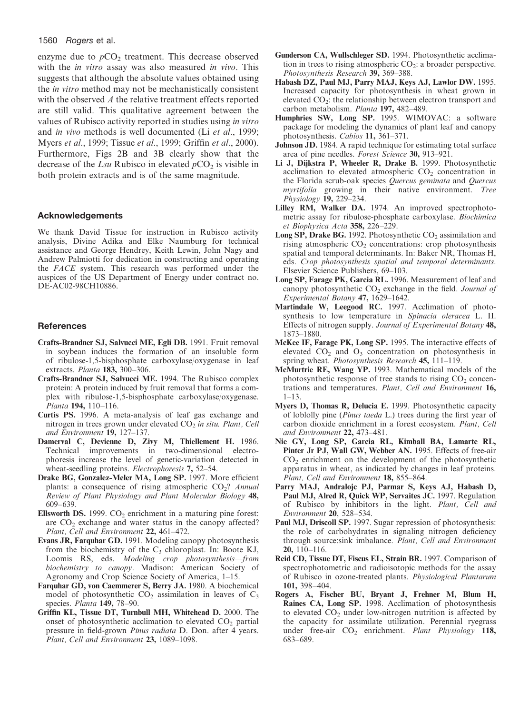## 1560 Rogers et al.

enzyme due to  $pCO<sub>2</sub>$  treatment. This decrease observed with the *in vitro* assay was also measured *in vivo*. This suggests that although the absolute values obtained using the *in vitro* method may not be mechanistically consistent with the observed A the relative treatment effects reported are still valid. This qualitative agreement between the values of Rubisco activity reported in studies using in vitro and *in vivo* methods is well documented (Li et al., 1999; Myers et al., 1999; Tissue et al., 1999; Griffin et al., 2000). Furthermore, Figs 2B and 3B clearly show that the decrease of the Lsu Rubisco in elevated  $pCO<sub>2</sub>$  is visible in both protein extracts and is of the same magnitude.

## **Acknowledgements**

We thank David Tissue for instruction in Rubisco activity analysis, Divine Adika and Elke Naumburg for technical assistance and George Hendrey, Keith Lewin, John Nagy and Andrew Palmiotti for dedication in constructing and operating the *FACE* system. This research was performed under the auspices of the US Department of Energy under contract no. DE-AC02-98CH10886.

## **References**

- Crafts-Brandner SJ, Salvucci ME, Egli DB. 1991. Fruit removal in soybean induces the formation of an insoluble form of ribulose-1,5-bisphosphate carboxylase/oxygenase in leaf extracts. Planta 183, 300-306.
- Crafts-Brandner SJ, Salvucci ME. 1994. The Rubisco complex protein: A protein induced by fruit removal that forms a complex with ribulose-1,5-bisphosphate carboxylase/oxygenase. Planta 194, 110-116.
- Curtis PS. 1996. A meta-analysis of leaf gas exchange and nitrogen in trees grown under elevated CO<sub>2</sub> in situ. Plant, Cell and Environment 19, 127-137.
- Damerval C, Devienne D, Zivy M, Thiellement H. 1986.<br>Technical improvements in two-dimensional electrophoresis increase the level of genetic-variation detected in wheat-seedling proteins. *Electrophoresis* 7, 52–54.
- Drake BG, Gonzalez-Meler MA, Long SP. 1997. More efficient plants: a consequence of rising atmospheric  $CO<sub>2</sub>$ ? Annual Review of Plant Physiology and Plant Molecular Biology 48, 609-639.
- Ellsworth DS. 1999.  $CO<sub>2</sub>$  enrichment in a maturing pine forest: are  $CO<sub>2</sub>$  exchange and water status in the canopy affected? Plant, Cell and Environment 22, 461-472.
- Evans JR, Farquhar GD. 1991. Modeling canopy photosynthesis from the biochemistry of the  $C_3$  chloroplast. In: Boote KJ, Loomis RS, eds. Modeling crop photosynthesis-from biochemistry to canopy. Madison: American Society of Agronomy and Crop Science Society of America, 1-15.
- Farquhar GD, von Caemmerer S, Berry JA. 1980. A biochemical model of photosynthetic  $CO<sub>2</sub>$  assimilation in leaves of  $C<sub>3</sub>$ species. Planta 149, 78-90.
- Griffin KL, Tissue DT, Turnbull MH, Whitehead D. 2000. The onset of photosynthetic acclimation to elevated CO<sub>2</sub> partial pressure in field-grown Pinus radiata D. Don. after 4 years. Plant, Cell and Environment 23, 1089-1098.
- Gunderson CA, Wullschleger SD, 1994. Photosynthetic acclimation in trees to rising atmospheric  $CO<sub>2</sub>$ : a broader perspective. Photosynthesis Research 39, 369-388.
- Habash DZ, Paul MJ, Parry MAJ, Keys AJ, Lawlor DW. 1995. Increased capacity for photosynthesis in wheat grown in elevated  $CO<sub>2</sub>$ : the relationship between electron transport and carbon metabolism. Planta 197, 482-489.
- Humphries SW, Long SP. 1995. WIMOVAC: a software package for modeling the dynamics of plant leaf and canopy photosynthesis. Cabios 11, 361-371.
- Johnson JD. 1984. A rapid technique for estimating total surface area of pine needles. Forest Science 30, 913-921.
- Li J, Dijkstra P, Wheeler R, Drake B. 1999. Photosynthetic acclimation to elevated atmospheric  $CO<sub>2</sub>$  concentration in the Florida scrub-oak species Quercus geminata and Quercus *myrtifolia* growing in their native environment. Tree Physiology 19, 229-234.
- Lilley RM, Walker DA. 1974. An improved spectrophotometric assay for ribulose-phosphate carboxylase. Biochimica et Biophysica Acta 358, 226-229.
- Long SP, Drake BG. 1992. Photosynthetic CO<sub>2</sub> assimilation and rising atmospheric  $CO<sub>2</sub>$  concentrations: crop photosynthesis spatial and temporal determinants. In: Baker NR, Thomas H, eds. Crop photosynthesis spatial and temporal determinants. Elsevier Science Publishers, 69-103.
- Long SP, Farage PK, Garcia RL. 1996. Measurement of leaf and canopy photosynthetic  $CO<sub>2</sub>$  exchange in the field. Journal of Experimental Botany 47, 1629-1642.
- Martindale W. Leegood RC. 1997. Acclimation of photosynthesis to low temperature in Spinacia oleracea L. II. Effects of nitrogen supply. Journal of Experimental Botany 48, 1873-1880.
- McKee IF, Farage PK, Long SP. 1995. The interactive effects of elevated  $CO<sub>2</sub>$  and  $O<sub>3</sub>$  concentration on photosynthesis in spring wheat. *Photosynthesis Research* 45, 111–119.
- McMurtrie RE, Wang YP. 1993. Mathematical models of the photosynthetic response of tree stands to rising CO<sub>2</sub> concentrations and temperatures. Plant, Cell and Environment 16,  $1 - 13$
- Myers D, Thomas R, Delucia E. 1999. Photosynthetic capacity of loblolly pine (Pinus taeda L.) trees during the first year of carbon dioxide enrichment in a forest ecosystem. Plant, Cell and Environment 22, 473-481.
- Nie GY, Long SP, Garcia RL, Kimball BA, Lamarte RL, Pinter Jr PJ, Wall GW, Webber AN. 1995. Effects of free-air CO<sub>2</sub> enrichment on the development of the photosynthetic apparatus in wheat, as indicated by changes in leaf proteins. Plant, Cell and Environment 18, 855-864.
- Parry MAJ, Andralojc PJ, Parmar S, Keys AJ, Habash D, Paul MJ, Alred R, Quick WP, Servaites JC. 1997. Regulation of Rubisco by inhibitors in the light. Plant, Cell and Environment 20, 528-534.
- Paul MJ, Driscoll SP. 1997. Sugar repression of photosynthesis: the role of carbohydrates in signaling nitrogen deficiency through source:sink imbalance. Plant, Cell and Environment  $20, 110 - 116.$
- Reid CD, Tissue DT, Fiscus EL, Strain BR. 1997. Comparison of spectrophotometric and radioisotopic methods for the assay of Rubisco in ozone-treated plants. Physiological Plantarum 101, 398-404.
- Rogers A, Fischer BU, Bryant J, Frehner M, Blum H, Raines CA, Long SP. 1998. Acclimation of photosynthesis to elevated  $CO<sub>2</sub>$  under low-nitrogen nutrition is affected by the capacity for assimilate utilization. Perennial ryegrass under free-air CO<sub>2</sub> enrichment. Plant Physiology 118, 683-689.